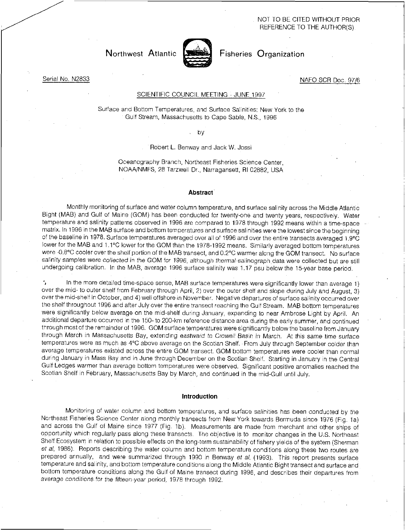NOT TO BE CITED WITHOUT PRIOR REFERENCE TO THE AUTHOR(S)

# Northwest Atlantic <a>[</a> Fisheries Organization</a>



## Serial No. N2833 NAFO SCR Doc. 97/6

# SCIENTIFIC COUNCIL MEETING - JUNE 1997

Surface and Bottom Temperatures, and Surface Salinities: New York to the Gulf Stream, Massachusetts to Cape Sable, N.S., 1996

by

Robert L. Benway and Jack W. Jossi

Oceanography Branch, Northeast Fisheries Science Center, NOAA/NMFS, 28 Tarzwell Dr., Narragansett, RI 02882, USA

#### Abstract

Monthly monitoring of surface and water column.temperature, and surface salinity across the Middle Atlantic Bight (MAB) and Gulf of Maine (GOM) has been conducted for twenty-one and twenty years, respectively. Water temperature and salinity patterns observed in 1996 are compared to 1978 through 1992 means within a time-space matrix. In 1996 in the MAB surface and bottom temperatures and surface salinities were the lowest since the beginning of the baseline in 1978. Surface temperatures averaged over all of 1996 and over the entire transects averaged 1.9°C lower for the MAB and 1.1°C lower for the GOM than the 1978-1992 means. Similarly averaged bottom temperatures were -0.8°C cooler over the shelf portion of the MAB transect, and 0.2°C warmer along the GOM transect. No surface salinity samples were collected in the GOM for 1996, although thermal-salinograph data were collected but are still undergoing calibration. In the MAB, average 1996 surface salinity was 1.17 psu below the 15-year base period.

In the more detailed time-space sense, MAB surface temperatures were significantly lower than average 1) over the mid- to outer shelf from February through April, 2) over the outer shelf and slope during July and August, 3) over the mid-shelf in October, and 4) well offshore in November. Negative departures of surface salinity occurred over the shelf throughout 1996 and after July over the entire transect reaching the Gulf Stream. MAB bottom temperatures were significantly below average on the mid-shelf during January, expanding to near Ambrose Light by April. An additional departure occurred in the 150-to 200-km reference distance area during the early summer, and continued through most of the remainder of 1996. GOM surface temperatures were significantly below the baseline from January through March in Massachusetts Bay, extending eastward to Crowell Basin in March. At this same time surface temperatures were as much as 4°C above average on the Scotian Shelf. From July through September colder than average temperatures existed across the entire GOM transect. GOM bottom temperatures were cooler than normal during January in Mass Bay and in June through December on the Scotian Shelf. Starting in January in the Central Gulf Ledges warmer than average bottom temperatures were observed. Significant positive anomalies reached the Scotian Shelf in February, Massachusetts Bay by March, and continued in the mid-Gulf until July.

#### Introduction

Monitoring of water column and bottom temperatures, and surface salinities has been conducted by the Northeast Fisheries Science Center along monthly transects from New York towards Bermuda since 1976 (Fig. la) and across the Gulf of Maine since 1977 (Fig. 1b). Measurements are made from merchant and other ships of opportunity which regularly pass along these transects. The objective is to monitor changes in the U.S. Northeast Shelf Ecosystem in relation to possible effects on the long-term sustainability of fishery yields of the system (Sherman et al, 1988). Reports describing the water column and bottom temperature conditions along these two routes are prepared annually, and were summarized through 1990 in Benway et al. (1993). This report presents surface temperature and salinity, and bottom temperature conditions along the Middle Atlantic Bight transect and surface and bottom temperature conditions along the Gulf of Maine transect during 1996, and describes their departures from average conditions for the fifteen-year period, 1978 through 1992.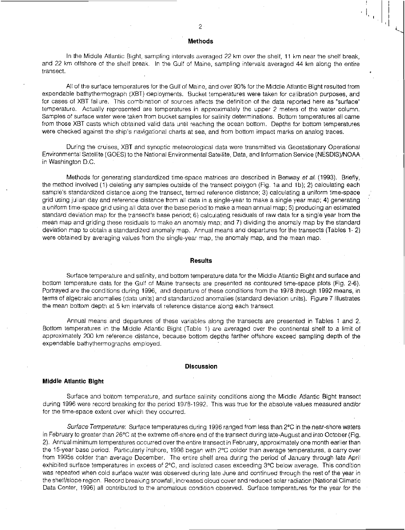#### **Methods**

In the Middle Atlantic Bight, sampling intervals averaged 22 km over the shelf, 11 km near the shelf break, and 22 km offshore of the shelf break. In the Gulf of Maine, sampling intervals averaged 44 km along the entire transect.

All of the surface temperatures for the Gulf of Maine, and over 90% for the Middle Atlantic Bight resulted from expendable bathytherrhograph (XBT) deployments. Bucket temperatures were taken for calibration purposes, and for cases of XBT failure. This combination of sources affects the definition of the data reported here as "surface" temperature. Actually represented are temperatures in approximately the upper 2 meters of the water column. Samples of surface water were taken from bucket samples for salinity determinations. Bottom temperatures all came from those XBT casts which obtained valid data until reaching the ocean bottom. Depths for bottom temperatures were checked against the ship's navigational charts at sea, and from bottom impact marks on analog traces.

During the cruises, XBT and synoptic meteorological data were transmitted via Geostationary Operational Environmental Satellite (GOES) to the National Environmental Satellite, Data, and Information Service (NESDIS)/NOAA in Washington D.C.

Methods for generating standardized time-space matrices are described in Benway *et al.* (1993). Briefly, the method involved (1)• deleting any samples outside of the transect polygon (Fig. la and lb); 2) calculating each sample's standardized distance along the transect, termed reference distance; 3) calculating a uniform time-space grid using julian day and reference distance from all data in a single-year to make a single year map; 4) generating a uniform time-space grid using all data over the base period to make a mean annual map; 5) producing an estimated standard deviation map for the transect's base period; 6) calculating residuals of raw data for a single year from the mean map and griding these residuals to make an anomaly map; and 7) dividing the anomaly map by the standard deviation map to obtain a standardized anomaly map. Annual means and departures for the transects (Tables 1- 2) were obtained *by* averaging values from the single-year map, the anomaly map, and the mean map.

#### **Results**

Surface temperature and salinity, and bottom temperature data for the Middle Atlantic Bight and surface and bottom temperature data for the Gulf of Maine transects are presented as contoured time-space plots (Fig. 2-6). Portrayed are the conditions during 1996, and departure of these conditions from the 1978 through 1992 means, in terms of algebraic anomalies (data units) and standardized anomalies (standard deviation units). Figure 7 illustrates the mean bottom depth at 5 km intervals of reference distance along each transect.

Annual means and departures of these variables along the transects are presented in Tables 1 and 2. Bottom temperatures in the Middle Atlantic Bight (Table 1) are averaged over the continental shelf to a limit of approximately 200 km reference distance, because bottom depths farther offshore exceed sampling depth of the expendable bathythermographs employed.

#### **Discussion**

#### **Middle Atlantic Bight**

Surface and bottom temperature, and surface salinity conditions along the Middle Atlantic Bight transect during 1996 were record breaking for the period 1978-1992. This was true for the absolute values measured and/or for the time-space extent over which they occurred.

*Surface Temperature:* Surface temperatures during 1996 ranged from less than 2°C in the near-shore waters in February to greater than 26°C at the extreme off-shore end of the transect during late-August and into October (Fig. 2). Annual minimum temperatures occurred over the entire transect in February, approximately one month earlier than the 15-year base period. Particularly inshore, 1996 began with 2°C colder than average temperatures, a carry over from 1995s colder than average December. The entire shelf area during the period of January through late April exhibited surface temperatures in excess of 2°C, and isolated cases exceeding 3°C below average. This condition was repeated when cold surface water was observed during late June and continued through the rest of the year in the shelf/slope region. Record breaking snowfall, increased cloud cover and reduced solar radiation (National Climatic Data Center, 1996) all contributed to the anomalous condition observed. Surface temperatures for the year for the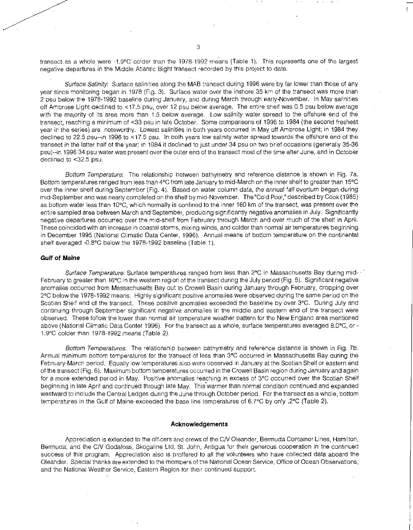transect as a whole were -1.9°C colder than the 1978-1992 means (Table 1). This represents one of the largest negative departures in the Middle Atlantic Bight transect recorded by this project to date.

Surface Salinity. Surface salinities along the MAB transect during 1996 were by far lower than those of any year since monitoring began in 1978 (Fig. 3). Surface water over the inshore 35 km of the transect was more than 2 psu below the 1978-1992 baseline during January, and during March through early-November. In May salinities off Ambrose Light declined to <17.5 psu, over 12 psu below average. The entire shelf was 0.5 psu below average with the majority of its area more than 1.5 below average. Low salinity water spread to the offshore end of the transect, reaching a minimum of <33 psu in late October. Some comparisons of 1996 to 1984 (the second freshest year in the series) are noteworthy. Lowest salinities in both years occurred in May off Ambrose Light; in 1984 they declined to 22.5 psu--in 1996 to <17.5 psu. In both years low salinity water spread towards the offshore end of the transect in the latter half of the year; in 1984 it declined to just under 34 psu on two brief occasions (generally 35-36 psu)--in 1996 34 psu water was present over the outer end of the transect most of the time after June, and in October declined to <32.5 psu.

*Bottom Temperature:* The relationship between bathymetry and reference distance is shown in Fig. 7a. Bottom temperatures ranged from less than 4°C from late January to mid-March on the inner shelf to greater than 15°C over the inner shelf during September (Fig. 4). Based on water column data, the annual fall overturn began during mid-September and was nearly completed on the shelf by mid-November. The "Cold Pool," described by Cook (1985) as.bottom water less than 10°C, which normally is confined to the inner 160 km of the transect, was present over the entire sampled area between March and September, producing significantly negative anomalies in July. Significantly negative departures occurred over the mid-shelf from February through March and over much of the shelf in April. These coincided with an increase in coastal storms, mixing winds, and colder than normal air temperatures beginning in December 1995 (National Climatic Data Center, 1996). Annual means of bottom temperature on the continental shelf averaged -0.8°C below the 1978-1992 baseline (Table 1).

### Gulf of *Maine*

*Surface Temperature:* Surface temperatures ranged from less than 2°C in Massachusetts Bay during mid-February to greater than 16°C in the western region of the transect during the July period (Fig. 5). Significant negative anomalies occurred from Massachusetts Bay out to Crowell Basin during January through February, dropping over 2°C below the 1978-1992 means. Highly significant positive anomalies were observed during the same period on the Scotian Shelf end of the transect. These positive anomalies exceeded the baseline by over 3°C. During July and continuing through September significant negative anomalies in the middle and eastern end of the transect were observed. These follow the lower than normal air temperature weather pattern for the New England area mentioned above (National Climatic Data Center 1996). For the transect as a whole, surface temperatures averaged 8.0°C, or - 1.9°C colder than 1978-1992 means (Table 2).

*Bottom Temperatures:* The relationship between bathymetry and reference distance is shown in Fig. 7b. Annual minimum bottom temperatures for the transect of less than 3°C occurred in Massachusetts Bay during the February-March period. Equally low temperatures also were observed in January at the Scotian Shelf or eastern end of the transect (Fig. 6). Maximum bottom temperatures occurred in the Crowell Basin region during January and again for a more extended period in May. Positive anomalies reaching in excess of 3°C occurred over the Scotian Shelf beginning in late April and continued through late May. This warmer than normal condition continued and expanded westward to include the Central Ledges during the June through October period. For the transect as a whole, bottom temperatures in the Gulf of Maine exceeded the base line temperatures of 6.7°C by only .2°C (Table 2).

#### Acknowledgements

Appreciation is extended to the officers and crews of the C/V Oleander, Bermuda Container Lines, Hamilton, Bermuda; and the C/V Godafoss, Skogaline Ltd, St. John, Antigua for their generous cooperation in the continued success of this program. Appreciation also is proffered to all the volunteers who have collected data aboard the Oleander. Special thanks are extended to the members of the National Ocean Service, Office of Ocean Observations, and the National Weather Service, Eastern Region for their continued support.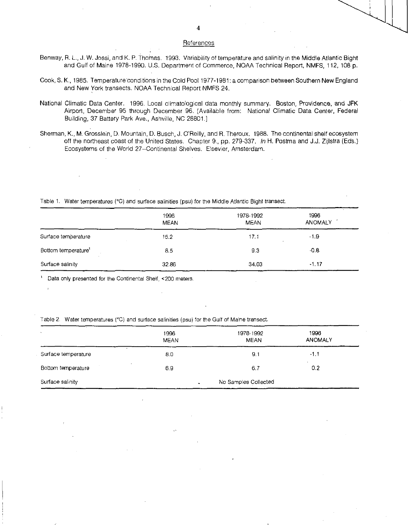## References

- Benway, R. L, J. W. Jossi, and K. P. Thomas. 1993. Variability of temperature and salinity in the Middle Atlantic Bight and Gulf of Maine 1978-1990. U.S. Department of Commerce, NOAA Technical Report, NMFS, 112, 108 p.
- Cook, S. K., 1985. Temperature'conditions in the Cold Pool 1977-1981: a comparison between Southern New England and New York transects. NOAA Technical Report NMFS 24.
- National Climatic Data Center. 1996. Local climatological data monthly summary. Boston, Providence, and JFK Airport, December 95 through December 96. (Available from: National Climatic Data Center, Federal Building, 37 Battery Park Ave., Ashville, NC 28801.]
- Sherman, K., M. Grosslein, D. Mountain, D. Busch, J. O'Reilly, and R. Theroux. 1988. The continental shelf ecosystem off the northeast coast of the United States. Chapter 9., pp. 279-337. *In* H. Postrna and J.J. Zijlstra (Eds.) Ecosystems of the World 27--Continental Shelves. Elsevier, Amsterdam.

Table 1. Water temperatures (°C) and surface salinities (psu) for the Middle Atlantic Bight transect.

|                                 | 1996<br><b>MEAN</b> | 1978-1992<br><b>MEAN</b> | 1996<br><b>ANOMALY</b> |
|---------------------------------|---------------------|--------------------------|------------------------|
| Surface temperature             | 15.2                | 17.1                     | $-1.9$                 |
| Bottom temperature <sup>1</sup> | 8.5                 | 93                       | $-0.8$                 |
| Surface salinity                | 32.86               | 34.03                    | $-1.17$                |

Data only presented for the Continental Shelf, <200 meters.

Table 2. Water temperatures (°C) and surface salinities (psu) for the Gulf of Maine transect.

| $\sim$              | 1996<br><b>MEAN</b>  | 1978-1992<br><b>MEAN</b> | 1996<br><b>ANOMALY</b> |
|---------------------|----------------------|--------------------------|------------------------|
| Surface temperature | 8.0                  | 9,1                      | $-1.1$                 |
| Bottom temperature  | 6.9                  | 6.7                      | 0.2                    |
| Surface salinity    | No Samples Collected |                          |                        |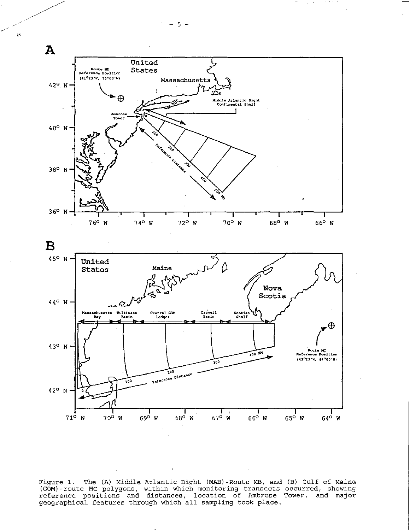

Figure 1. The (A) Middle Atlantic Bight (MAB)-Route MB, and (B) Gulf of Maine (GOM)-route MC polygons, within which monitoring transects occurred, showing<br>reference positions and distances, location of Ambrose Tower, and major geographical features through which all sampling took place.

 $\circ s$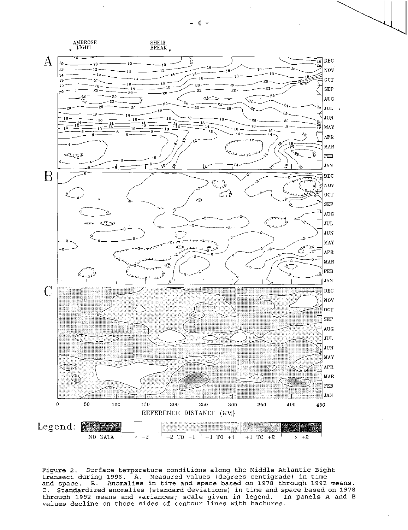

Figure 2. Surface temperature conditions along the Middle Atlantic Bight transect during 1996. A. Measured values (degrees centigrade) in time<br>and space. B. Anomalies in time and space based on 1978 through 1992 means. C. Standardized anomalies (standard deviations) in time and space based on 1978 through 1992 means and variances; scale given in legend. In panels A and B values decline on those sides of contour lines with hachures.

 $-6-$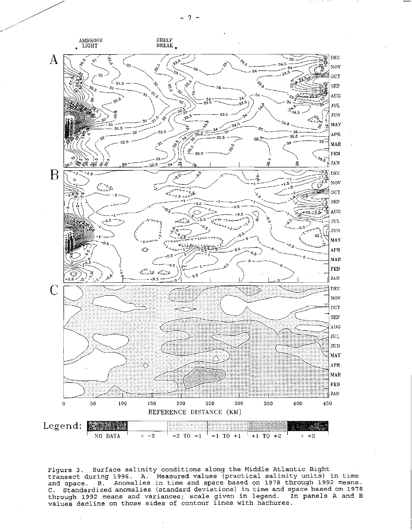

Figure 3. Surface salinity conditions along the Middle Atlantic Bight transect during 1996. A. Measured values (practical salinity units) in time<br>and space. B. Anomalies in time and space based on 1978 through 1992 means. C. Standardized anomalies (standard deviations) in time and space based on 1978 through 1992 means and variances; scale given in legend. In panels A and B values decline on those sides of contour lines with hachures.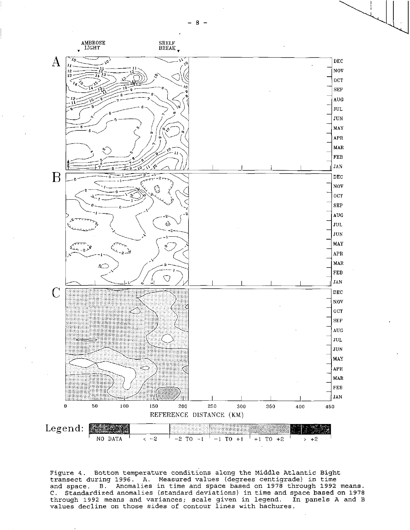

Figure 4. Bottom temperature conditions along the Middle Atlantic Bight transect during 1996. A. Measured values (degrees centigrade) in time and space. B. Anomalies in time and space based on 1978 through 1992 means. C. Standardized anomalies (standard deviations) in time and space based on 1978 through 1992 means and variances; scale given in legend. In panels A and B values decline on those sides of contour lines with hachures.

 $-8 -$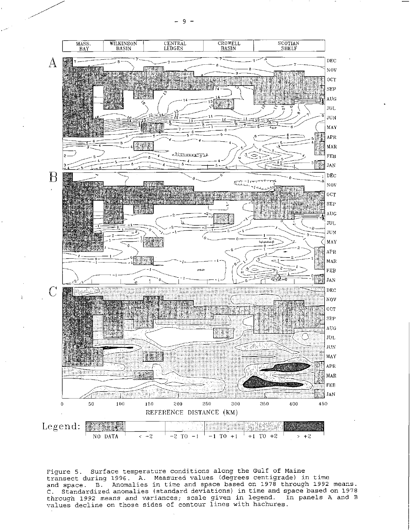WILKINSON<br>BASIN CENTRAL<br>LEDGES CROWELL<br>BASIN SCOTIAN<br>SHELF MASS.<br>BAY **DEC**  $\mathbf{A}$ N<sub>O</sub>V  $0C<sub>T</sub>$ **SEP**  $\mathbf{A} \mathbf{U} \mathbf{G}$ JUL JUN MAY  $\rm{APR}$ braner  $\texttt{MAR}$ <u>egunaalis</u> **FEB**  $\kappa$ Y. **JAN** B **DEC** CH. N<sub>O</sub>V  $_{0<sub>C</sub>$ Seta **SEP**  $\Lambda\text{U}\text{G}$  $JUL$ **JUN MAY** E.  $\rm{APR}$ MAR FEB **JAN**  $\mathbb{C}$ DEC NOV  $_{0cr}$  $SFP$ AUG-**MIN** JUL JUN **BRAN** MAY APR MAR FEB **The JAN** 50 100 150 200 250 300 350 400 450  $\pmb{0}$ REFERENCE DISTANCE (KM) Legend: 1 <u> 500 g</u> NO DATA  $-2$  TO  $-1$  $-1$  TO  $+1$  $+1$  TO  $+2$  $> +2$ 

Figure 5. Surface temperature conditions along the Gulf of Maine transect during 1996. A. Measured values (degrees centigrade) in time<br>and space. B. Anomalies in time and space based on 1978 through 1992 means. C. Standardized anomalies in the and space wased on 1976 through 1992 means.<br>C. Standardized anomalies (standard deviations) in time and space based on 1978<br>through 1992 means and variances; scale given in legend. In panel

 $<-2$ 

Q.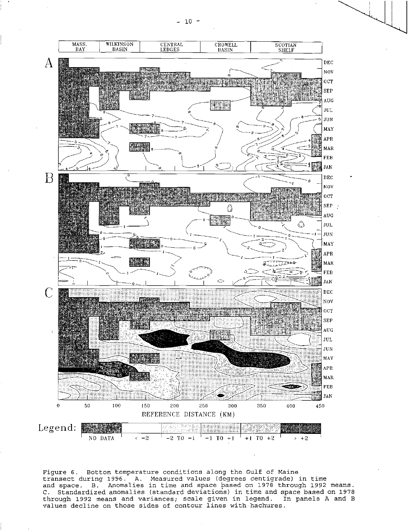$- 10 -$ 



Figure 6. Bottom temperature conditions along the Gulf of Maine transect during 1996. A. Measured values (degrees centigrade) in time and space. B. Anomalies in time and space based on 1978 through 1992 means. C. Standardized anomalies (standard deviations) in time and space based on 1978 through 1992 means and variances; scale given in legend. In panels A and B values decline on those sides of contour lines with hachures.